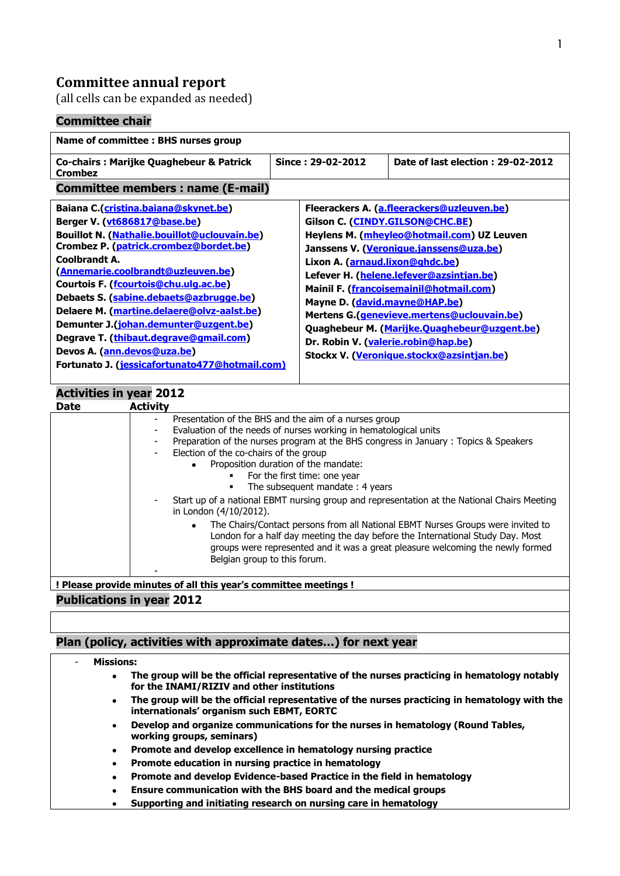# **Committee annual report**

(all cells can be expanded as needed)

### **Committee chair**

| Name of committee : BHS nurses group                                                                                                                                                                                                                                                                                                                                                                                                                                                                                                                                                                                                                                                                                                                                                                             |                                 |                                                                                                                                                                                                                                                                                                                                                                                                                                                                                  |
|------------------------------------------------------------------------------------------------------------------------------------------------------------------------------------------------------------------------------------------------------------------------------------------------------------------------------------------------------------------------------------------------------------------------------------------------------------------------------------------------------------------------------------------------------------------------------------------------------------------------------------------------------------------------------------------------------------------------------------------------------------------------------------------------------------------|---------------------------------|----------------------------------------------------------------------------------------------------------------------------------------------------------------------------------------------------------------------------------------------------------------------------------------------------------------------------------------------------------------------------------------------------------------------------------------------------------------------------------|
| <b>Co-chairs: Marijke Quaghebeur &amp; Patrick</b><br><b>Crombez</b>                                                                                                                                                                                                                                                                                                                                                                                                                                                                                                                                                                                                                                                                                                                                             | Since: 29-02-2012               | Date of last election: 29-02-2012                                                                                                                                                                                                                                                                                                                                                                                                                                                |
| <b>Committee members: name (E-mail)</b>                                                                                                                                                                                                                                                                                                                                                                                                                                                                                                                                                                                                                                                                                                                                                                          |                                 |                                                                                                                                                                                                                                                                                                                                                                                                                                                                                  |
| Baiana C.(cristina.baiana@skynet.be)<br>Berger V. (vt686817@base.be)<br>Bouillot N. (Nathalie.bouillot@uclouvain.be)<br>Crombez P. (patrick.crombez@bordet.be)<br>Coolbrandt A.<br>(Annemarie.coolbrandt@uzleuven.be)<br>Courtois F. (fcourtois@chu.ulg.ac.be)<br>Debaets S. (sabine.debaets@azbrugge.be)<br>Delaere M. (martine.delaere@olvz-aalst.be)<br>Demunter J.(johan.demunter@uzgent.be)<br>Degrave T. (thibaut.degrave@gmail.com)<br>Devos A. (ann.devos@uza.be)<br>Fortunato J. (jessicafortunato477@hotmail.com)                                                                                                                                                                                                                                                                                      | Lixon A. (arnaud.lixon@ghdc.be) | Fleerackers A. (a.fleerackers@uzleuven.be)<br>Gilson C. (CINDY.GILSON@CHC.BE)<br>Heylens M. (mheyleo@hotmail.com) UZ Leuven<br>Janssens V. (Veronique.janssens@uza.be)<br>Lefever H. (helene.lefever@azsintjan.be)<br>Mainil F. (francoisemainil@hotmail.com)<br>Mayne D. (david.mayne@HAP.be)<br>Mertens G.(genevieve.mertens@uclouvain.be)<br>Quaghebeur M. (Marijke.Quaghebeur@uzgent.be)<br>Dr. Robin V. (valerie.robin@hap.be)<br>Stockx V. (Veronique.stockx@azsintjan.be) |
| <b>Activities in year 2012</b><br><b>Activity</b><br><b>Date</b>                                                                                                                                                                                                                                                                                                                                                                                                                                                                                                                                                                                                                                                                                                                                                 |                                 |                                                                                                                                                                                                                                                                                                                                                                                                                                                                                  |
| Presentation of the BHS and the aim of a nurses group<br>Evaluation of the needs of nurses working in hematological units<br>Preparation of the nurses program at the BHS congress in January : Topics & Speakers<br>Election of the co-chairs of the group<br>Proposition duration of the mandate:<br>$\bullet$<br>For the first time: one year<br>The subsequent mandate: 4 years<br>Start up of a national EBMT nursing group and representation at the National Chairs Meeting<br>in London (4/10/2012).<br>The Chairs/Contact persons from all National EBMT Nurses Groups were invited to<br>$\bullet$<br>London for a half day meeting the day before the International Study Day. Most<br>groups were represented and it was a great pleasure welcoming the newly formed<br>Belgian group to this forum. |                                 |                                                                                                                                                                                                                                                                                                                                                                                                                                                                                  |
| ! Please provide minutes of all this year's committee meetings !                                                                                                                                                                                                                                                                                                                                                                                                                                                                                                                                                                                                                                                                                                                                                 |                                 |                                                                                                                                                                                                                                                                                                                                                                                                                                                                                  |
| <b>Publications in year 2012</b>                                                                                                                                                                                                                                                                                                                                                                                                                                                                                                                                                                                                                                                                                                                                                                                 |                                 |                                                                                                                                                                                                                                                                                                                                                                                                                                                                                  |

#### **Plan (policy, activities with approximate dates…) for next year**

#### - **Missions:**

- **The group will be the official representative of the nurses practicing in hematology notably**   $\bullet$ **for the INAMI/RIZIV and other institutions**
- **The group will be the official representative of the nurses practicing in hematology with the**   $\bullet$ **internationals' organism such EBMT, EORTC**
- **Develop and organize communications for the nurses in hematology (Round Tables,**   $\bullet$ **working groups, seminars)**
- **Promote and develop excellence in hematology nursing practice**
- **Promote education in nursing practice in hematology**
- **Promote and develop Evidence-based Practice in the field in hematology**  $\bullet$
- **Ensure communication with the BHS board and the medical groups**   $\bullet$
- **Supporting and initiating research on nursing care in hematology** $\bullet$